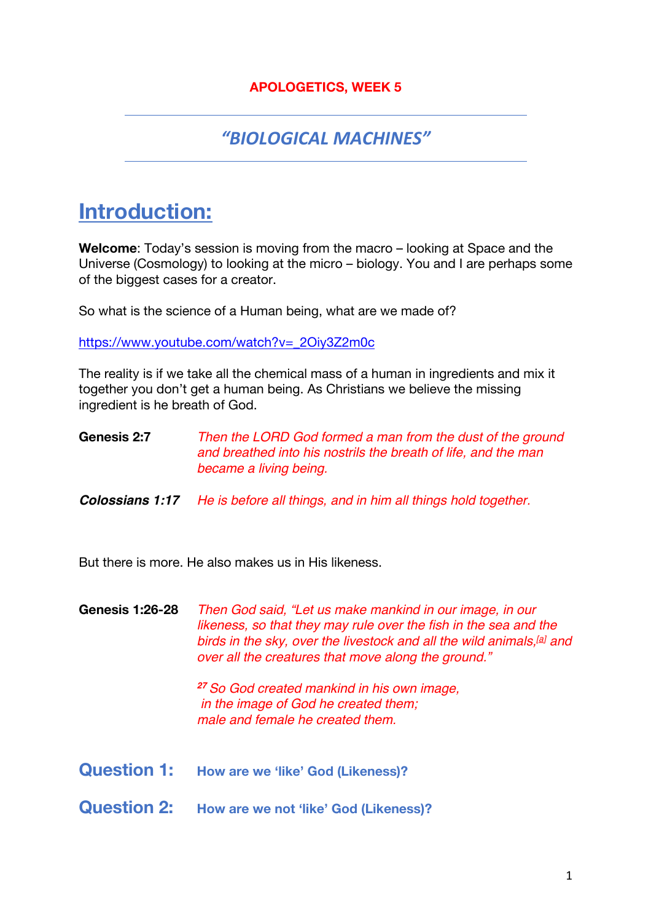### **APOLOGETICS, WEEK 5**

### *"BIOLOGICAL MACHINES"*

# **Introduction:**

**Welcome**: Today's session is moving from the macro – looking at Space and the Universe (Cosmology) to looking at the micro – biology. You and I are perhaps some of the biggest cases for a creator.

So what is the science of a Human being, what are we made of?

https://www.youtube.com/watch?v=\_2Oiy3Z2m0c

The reality is if we take all the chemical mass of a human in ingredients and mix it together you don't get a human being. As Christians we believe the missing ingredient is he breath of God.

**Genesis 2:7** *Then the LORD God formed a man from the dust of the ground and breathed into his nostrils the breath of life, and the man became a living being.*

*Colossians 1:17 He is before all things, and in him all things hold together.*

But there is more. He also makes us in His likeness.

**Genesis 1:26-28** *Then God said, "Let us make mankind in our image, in our likeness, so that they may rule over the fish in the sea and the birds in the sky, over the livestock and all the wild animals,[a] and over all the creatures that move along the ground."*

> *<sup>27</sup> So God created mankind in his own image, in the image of God he created them; male and female he created them.*

- **Question 1: How are we 'like' God (Likeness)?**
- **Question 2:** How are we not 'like' God (Likeness)?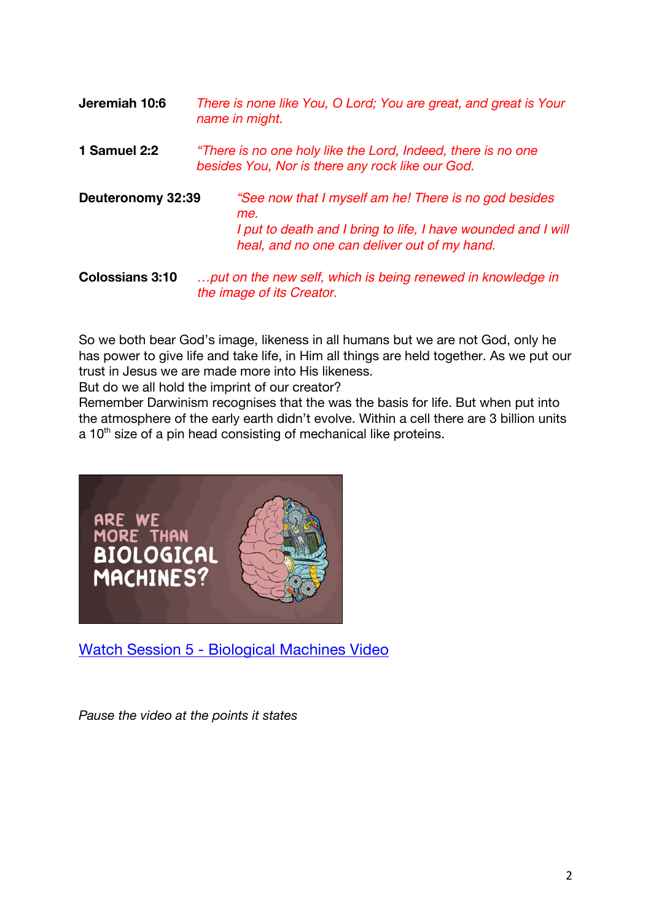| Jeremiah 10:6          | There is none like You, O Lord; You are great, and great is Your<br>name in might.                                                                                            |
|------------------------|-------------------------------------------------------------------------------------------------------------------------------------------------------------------------------|
| 1 Samuel 2:2           | "There is no one holy like the Lord, Indeed, there is no one<br>besides You, Nor is there any rock like our God.                                                              |
| Deuteronomy 32:39      | "See now that I myself am he! There is no god besides<br>me.<br>I put to death and I bring to life, I have wounded and I will<br>heal, and no one can deliver out of my hand. |
| <b>Colossians 3:10</b> | put on the new self, which is being renewed in knowledge in                                                                                                                   |

So we both bear God's image, likeness in all humans but we are not God, only he has power to give life and take life, in Him all things are held together. As we put our trust in Jesus we are made more into His likeness.

*the image of its Creator.*

But do we all hold the imprint of our creator?

Remember Darwinism recognises that the was the basis for life. But when put into the atmosphere of the early earth didn't evolve. Within a cell there are 3 billion units  $a$  10<sup>th</sup> size of a pin head consisting of mechanical like proteins.



Watch Session 5 - Biological Machines Video

*Pause the video at the points it states*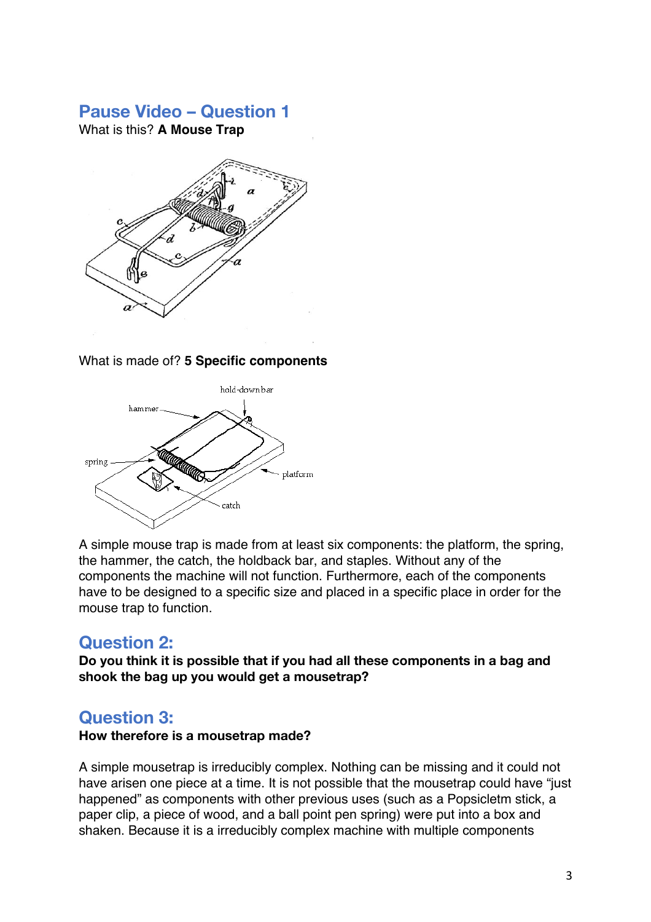### **Pause Video – Question 1**

What is this? **A Mouse Trap**



#### What is made of? **5 Specific components**



A simple mouse trap is made from at least six components: the platform, the spring, the hammer, the catch, the holdback bar, and staples. Without any of the components the machine will not function. Furthermore, each of the components have to be designed to a specific size and placed in a specific place in order for the mouse trap to function.

### **Question 2:**

**Do you think it is possible that if you had all these components in a bag and shook the bag up you would get a mousetrap?**

### **Question 3:**

#### **How therefore is a mousetrap made?**

A simple mousetrap is irreducibly complex. Nothing can be missing and it could not have arisen one piece at a time. It is not possible that the mousetrap could have "just happened" as components with other previous uses (such as a Popsicletm stick, a paper clip, a piece of wood, and a ball point pen spring) were put into a box and shaken. Because it is a irreducibly complex machine with multiple components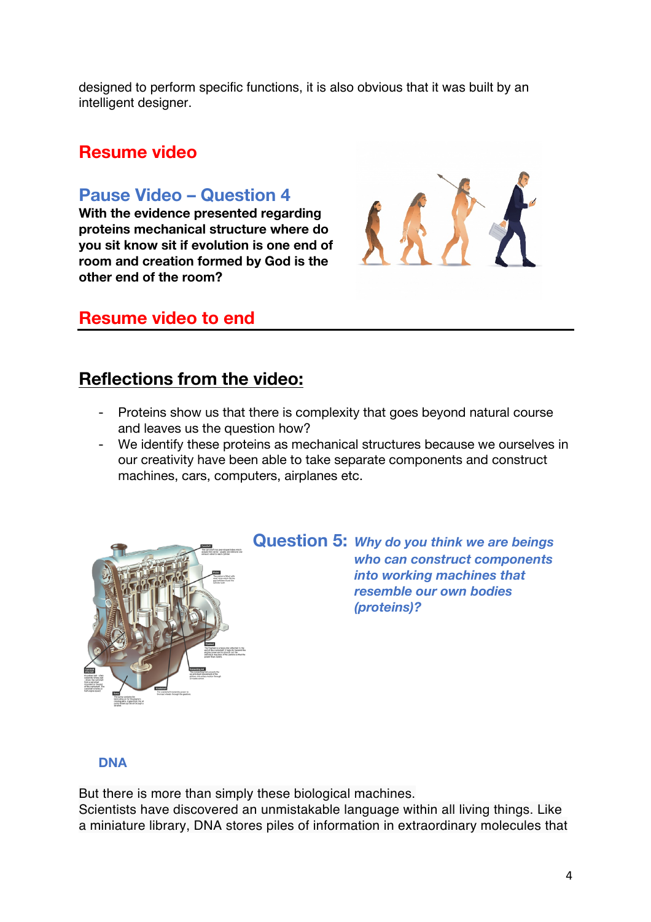designed to perform specific functions, it is also obvious that it was built by an intelligent designer.

### **Resume video**

### **Pause Video – Question 4**

**With the evidence presented regarding proteins mechanical structure where do you sit know sit if evolution is one end of room and creation formed by God is the other end of the room?**



# **Resume video to end**

# **Reflections from the video:**

- Proteins show us that there is complexity that goes beyond natural course and leaves us the question how?
- We identify these proteins as mechanical structures because we ourselves in our creativity have been able to take separate components and construct machines, cars, computers, airplanes etc.



**Question 5:** *Why do you think we are beings who can construct components into working machines that resemble our own bodies (proteins)?*

#### **DNA**

But there is more than simply these biological machines.

Scientists have discovered an unmistakable language within all living things. Like a miniature library, DNA stores piles of information in extraordinary molecules that